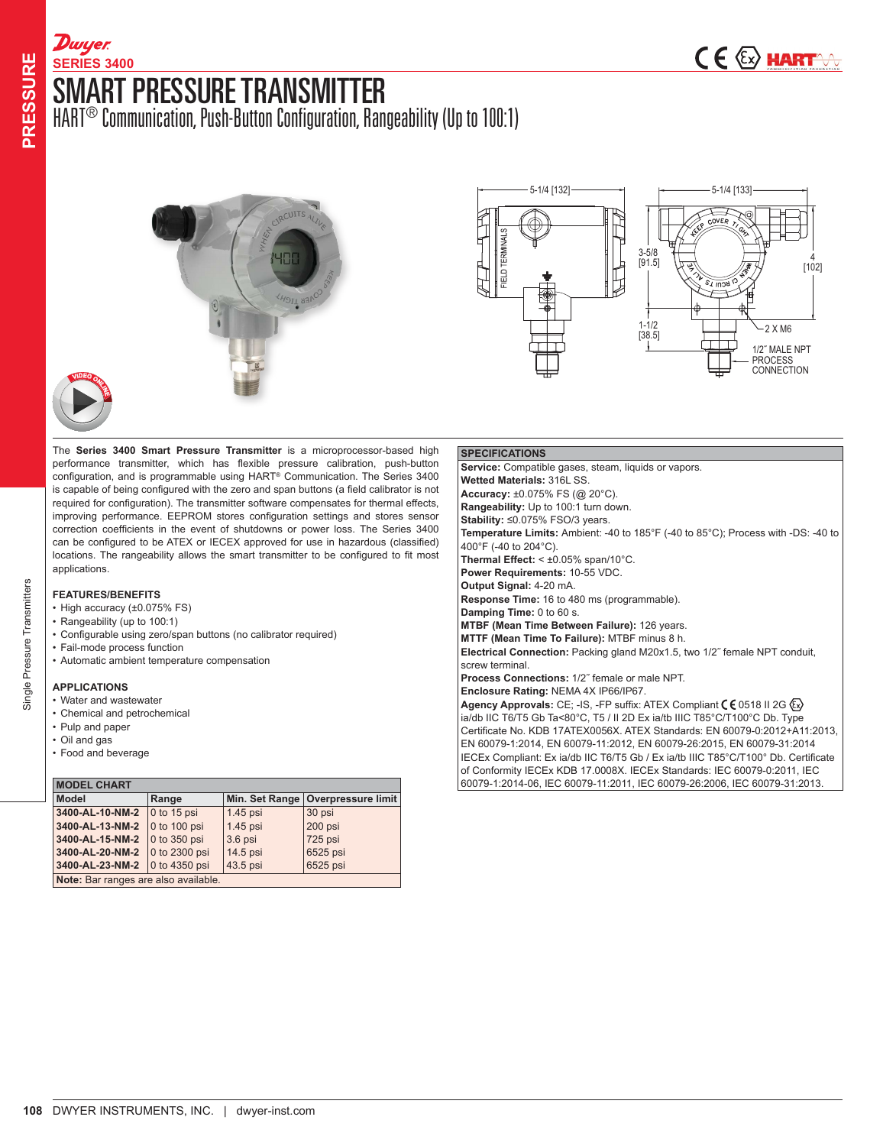## SMART PRESSURE TRANSMITTER **SERIES 3400**

HART® Communication, Push-Button Configuration, Rangeability (Up to 100:1)





The **Series 3400 Smart Pressure Transmitter** is a microprocessor-based high performance transmitter, which has flexible pressure calibration, push-button configuration, and is programmable using HART® Communication. The Series 3400 is capable of being configured with the zero and span buttons (a field calibrator is not required for configuration). The transmitter software compensates for thermal effects, improving performance. EEPROM stores configuration settings and stores sensor correction coefficients in the event of shutdowns or power loss. The Series 3400 can be configured to be ATEX or IECEX approved for use in hazardous (classified) locations. The rangeability allows the smart transmitter to be configured to fit most applications.

## **FEATURES/BENEFITS**

**<sup>V</sup>IDE<sup>O</sup> <sup>O</sup>NL<sup>I</sup>N<sup>E</sup>**

**D**wyer

- High accuracy (±0.075% FS)
- Rangeability (up to 100:1)
- Configurable using zero/span buttons (no calibrator required)
- Fail-mode process function
- Automatic ambient temperature compensation

## **APPLICATIONS**

- Water and wastewater
- Chemical and petrochemical
- Pulp and paper
- Oil and gas • Food and beverage

| <b>MODEL CHART</b>                   |                      |            |                                     |  |  |  |
|--------------------------------------|----------------------|------------|-------------------------------------|--|--|--|
| <b>Model</b>                         | Range                |            | Min. Set Range   Overpressure limit |  |  |  |
| 3400-AL-10-NM-2                      | $0$ to 15 psi        | $1.45$ psi | 30 psi                              |  |  |  |
| 3400-AL-13-NM-2                      | 0 to 100 psi         | 1.45 psi   | 200 psi                             |  |  |  |
| 3400-AL-15-NM-2                      | $\vert$ 0 to 350 psi | $3.6$ psi  | 725 psi                             |  |  |  |
| 3400-AL-20-NM-2                      | 0 to 2300 psi        | 14.5 psi   | 6525 psi                            |  |  |  |
| 3400-AL-23-NM-2                      | 0 to 4350 psi        | 43.5 psi   | 6525 psi                            |  |  |  |
| Note: Bar ranges are also available. |                      |            |                                     |  |  |  |

### **SPECIFICATIONS Service:** Compatible gases, steam, liquids or vapors. **Wetted Materials:** 316L SS. **Accuracy:** ±0.075% FS (@ 20°C). **Rangeability:** Up to 100:1 turn down. **Stability:** ≤0.075% FSO/3 years. **Temperature Limits:** Ambient: -40 to 185°F (-40 to 85°C); Process with -DS: -40 to 400°F (-40 to 204°C). **Thermal Effect:**  $\leq \pm 0.05\%$  span/10 $^{\circ}$ C. **Power Requirements:** 10-55 VDC. **Output Signal:** 4-20 mA. **Response Time:** 16 to 480 ms (programmable). **Damping Time:** 0 to 60 s. **MTBF (Mean Time Between Failure):** 126 years. **MTTF (Mean Time To Failure):** MTBF minus 8 h. **Electrical Connection:** Packing gland M20x1.5, two 1/2˝ female NPT conduit, screw terminal. **Process Connections:** 1/2˝ female or male NPT. **Enclosure Rating:** NEMA 4X IP66/IP67. **Agency Approvals:** CE; -IS, -FP suffix: ATEX Compliant ( $60518$  II 2G $\langle x \rangle$ ia/db IIC T6/T5 Gb Ta<80°C, T5 / II 2D Ex ia/tb IIIC T85°C/T100°C Db. Type Certificate No. KDB 17ATEX0056X. ATEX Standards: EN 60079-0:2012+A11:2013, EN 60079-1:2014, EN 60079-11:2012, EN 60079-26:2015, EN 60079-31:2014 IECEx Compliant: Ex ia/db IIC T6/T5 Gb / Ex ia/tb IIIC T85°C/T100° Db. Certificate of Conformity IECEx KDB 17.0008X. IECEx Standards: IEC 60079-0:2011, IEC 60079-1:2014-06, IEC 60079-11:2011, IEC 60079-26:2006, IEC 60079-31:2013.